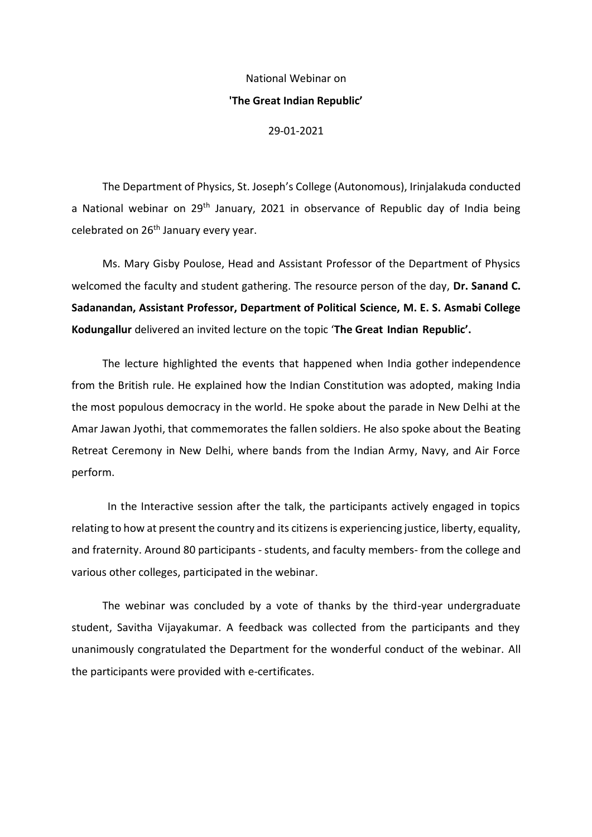## National Webinar on

## **'The Great Indian Republic'**

29-01-2021

The Department of Physics, St. Joseph's College (Autonomous), Irinjalakuda conducted a National webinar on 29<sup>th</sup> January, 2021 in observance of Republic day of India being celebrated on 26<sup>th</sup> January every year.

Ms. Mary Gisby Poulose, Head and Assistant Professor of the Department of Physics welcomed the faculty and student gathering. The resource person of the day, **Dr. Sanand C. Sadanandan, Assistant Professor, Department of Political Science, M. E. S. Asmabi College Kodungallur** delivered an invited lecture on the topic '**The Great Indian Republic'.**

The lecture highlighted the events that happened when India gother independence from the British rule. He explained how the Indian Constitution was adopted, making India the most populous democracy in the world. He spoke about the parade in New Delhi at the Amar Jawan Jyothi, that commemorates the fallen soldiers. He also spoke about the Beating Retreat Ceremony in New Delhi, where bands from the Indian Army, Navy, and Air Force perform.

 In the Interactive session after the talk, the participants actively engaged in topics relating to how at present the country and its citizens is experiencing justice, liberty, equality, and fraternity. Around 80 participants - students, and faculty members- from the college and various other colleges, participated in the webinar.

The webinar was concluded by a vote of thanks by the third-year undergraduate student, Savitha Vijayakumar. A feedback was collected from the participants and they unanimously congratulated the Department for the wonderful conduct of the webinar. All the participants were provided with e-certificates.